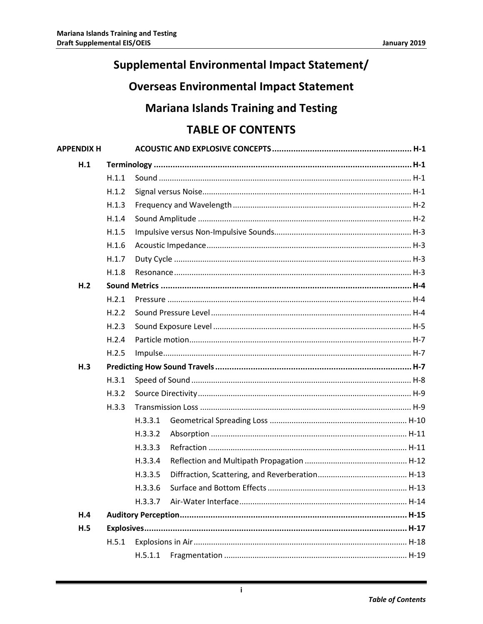# **Supplemental Environmental Impact Statement/**

# **Overseas Environmental Impact Statement**

## **Mariana Islands Training and Testing**

# **TABLE OF CONTENTS**

| <b>APPENDIX H</b> |       |         |  |  |  |  |
|-------------------|-------|---------|--|--|--|--|
| H.1               |       |         |  |  |  |  |
|                   | H.1.1 |         |  |  |  |  |
|                   | H.1.2 |         |  |  |  |  |
|                   | H.1.3 |         |  |  |  |  |
|                   | H.1.4 |         |  |  |  |  |
|                   | H.1.5 |         |  |  |  |  |
|                   | H.1.6 |         |  |  |  |  |
|                   | H.1.7 |         |  |  |  |  |
|                   | H.1.8 |         |  |  |  |  |
| H.2               |       |         |  |  |  |  |
|                   | H.2.1 |         |  |  |  |  |
|                   | H.2.2 |         |  |  |  |  |
|                   | H.2.3 |         |  |  |  |  |
|                   | H.2.4 |         |  |  |  |  |
|                   | H.2.5 |         |  |  |  |  |
| H.3               |       |         |  |  |  |  |
|                   | H.3.1 |         |  |  |  |  |
|                   | H.3.2 |         |  |  |  |  |
|                   | H.3.3 |         |  |  |  |  |
|                   |       | H.3.3.1 |  |  |  |  |
|                   |       | H.3.3.2 |  |  |  |  |
|                   |       | H.3.3.3 |  |  |  |  |
|                   |       | H.3.3.4 |  |  |  |  |
|                   |       | H.3.3.5 |  |  |  |  |
|                   |       | H.3.3.6 |  |  |  |  |
|                   |       | H.3.3.7 |  |  |  |  |
| H.4               |       |         |  |  |  |  |
| H.5               |       |         |  |  |  |  |
|                   | H.5.1 |         |  |  |  |  |
|                   |       | H.5.1.1 |  |  |  |  |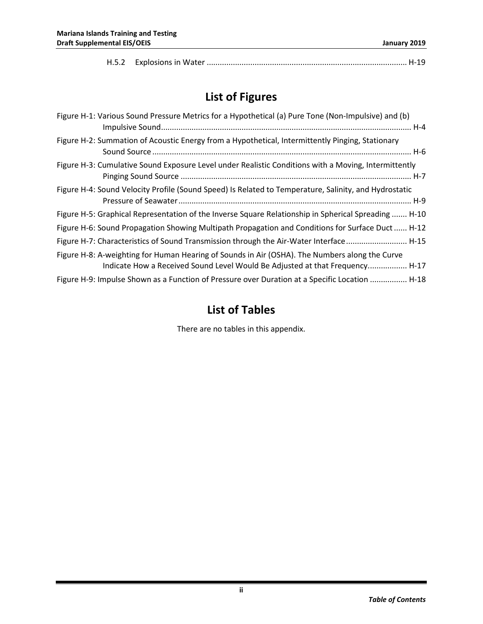|--|--|--|--|--|

# **List of Figures**

| Figure H-1: Various Sound Pressure Metrics for a Hypothetical (a) Pure Tone (Non-Impulsive) and (b)                                                                            |
|--------------------------------------------------------------------------------------------------------------------------------------------------------------------------------|
| Figure H-2: Summation of Acoustic Energy from a Hypothetical, Intermittently Pinging, Stationary                                                                               |
| Figure H-3: Cumulative Sound Exposure Level under Realistic Conditions with a Moving, Intermittently                                                                           |
| Figure H-4: Sound Velocity Profile (Sound Speed) Is Related to Temperature, Salinity, and Hydrostatic                                                                          |
| Figure H-5: Graphical Representation of the Inverse Square Relationship in Spherical Spreading  H-10                                                                           |
| Figure H-6: Sound Propagation Showing Multipath Propagation and Conditions for Surface Duct H-12                                                                               |
| Figure H-7: Characteristics of Sound Transmission through the Air-Water Interface  H-15                                                                                        |
| Figure H-8: A-weighting for Human Hearing of Sounds in Air (OSHA). The Numbers along the Curve<br>Indicate How a Received Sound Level Would Be Adjusted at that Frequency H-17 |
| Figure H-9: Impulse Shown as a Function of Pressure over Duration at a Specific Location  H-18                                                                                 |

## **List of Tables**

There are no tables in this appendix.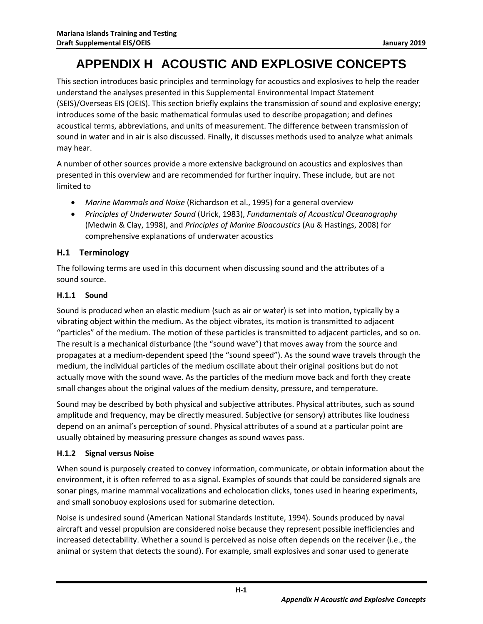# **APPENDIX H ACOUSTIC AND EXPLOSIVE CONCEPTS**

<span id="page-2-0"></span>This section introduces basic principles and terminology for acoustics and explosives to help the reader understand the analyses presented in this Supplemental Environmental Impact Statement (SEIS)/Overseas EIS (OEIS). This section briefly explains the transmission of sound and explosive energy; introduces some of the basic mathematical formulas used to describe propagation; and defines acoustical terms, abbreviations, and units of measurement. The difference between transmission of sound in water and in air is also discussed. Finally, it discusses methods used to analyze what animals may hear.

A number of other sources provide a more extensive background on acoustics and explosives than presented in this overview and are recommended for further inquiry. These include, but are not limited to

- *Marine Mammals and Noise* (Richardson et al., 1995) for a general overview
- *Principles of Underwater Sound* (Urick, 1983), *Fundamentals of Acoustical Oceanography* (Medwin & Clay, 1998), and *Principles of Marine Bioacoustics* (Au & Hastings, 2008) for comprehensive explanations of underwater acoustics

#### <span id="page-2-1"></span>**H.1 Terminology**

The following terms are used in this document when discussing sound and the attributes of a sound source.

#### <span id="page-2-2"></span>**H.1.1 Sound**

Sound is produced when an elastic medium (such as air or water) is set into motion, typically by a vibrating object within the medium. As the object vibrates, its motion is transmitted to adjacent "particles" of the medium. The motion of these particles is transmitted to adjacent particles, and so on. The result is a mechanical disturbance (the "sound wave") that moves away from the source and propagates at a medium-dependent speed (the "sound speed"). As the sound wave travels through the medium, the individual particles of the medium oscillate about their original positions but do not actually move with the sound wave. As the particles of the medium move back and forth they create small changes about the original values of the medium density, pressure, and temperature.

Sound may be described by both physical and subjective attributes. Physical attributes, such as sound amplitude and frequency, may be directly measured. Subjective (or sensory) attributes like loudness depend on an animal's perception of sound. Physical attributes of a sound at a particular point are usually obtained by measuring pressure changes as sound waves pass.

#### <span id="page-2-3"></span>**H.1.2 Signal versus Noise**

When sound is purposely created to convey information, communicate, or obtain information about the environment, it is often referred to as a signal. Examples of sounds that could be considered signals are sonar pings, marine mammal vocalizations and echolocation clicks, tones used in hearing experiments, and small sonobuoy explosions used for submarine detection.

Noise is undesired sound (American National Standards Institute, 1994). Sounds produced by naval aircraft and vessel propulsion are considered noise because they represent possible inefficiencies and increased detectability. Whether a sound is perceived as noise often depends on the receiver (i.e., the animal or system that detects the sound). For example, small explosives and sonar used to generate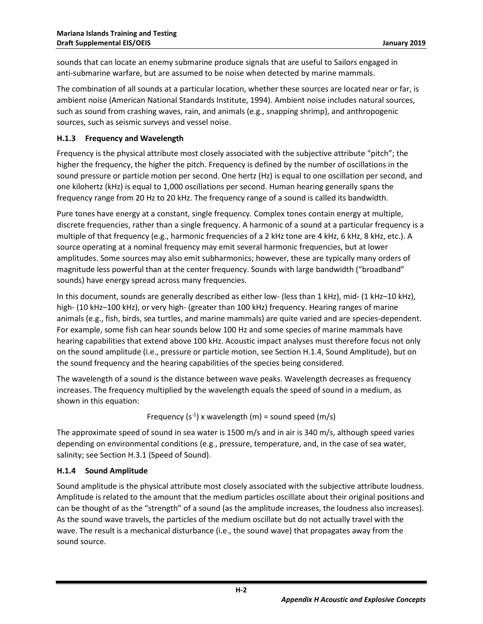sounds that can locate an enemy submarine produce signals that are useful to Sailors engaged in anti-submarine warfare, but are assumed to be noise when detected by marine mammals.

The combination of all sounds at a particular location, whether these sources are located near or far, is ambient noise (American National Standards Institute, 1994). Ambient noise includes natural sources, such as sound from crashing waves, rain, and animals (e.g., snapping shrimp), and anthropogenic sources, such as seismic surveys and vessel noise.

#### <span id="page-3-0"></span>**H.1.3 Frequency and Wavelength**

Frequency is the physical attribute most closely associated with the subjective attribute "pitch"; the higher the frequency, the higher the pitch. Frequency is defined by the number of oscillations in the sound pressure or particle motion per second. One hertz (Hz) is equal to one oscillation per second, and one kilohertz (kHz) is equal to 1,000 oscillations per second. Human hearing generally spans the frequency range from 20 Hz to 20 kHz. The frequency range of a sound is called its bandwidth.

Pure tones have energy at a constant, single frequency. Complex tones contain energy at multiple, discrete frequencies, rather than a single frequency. A harmonic of a sound at a particular frequency is a multiple of that frequency (e.g., harmonic frequencies of a 2 kHz tone are 4 kHz, 6 kHz, 8 kHz, etc.). A source operating at a nominal frequency may emit several harmonic frequencies, but at lower amplitudes. Some sources may also emit subharmonics; however, these are typically many orders of magnitude less powerful than at the center frequency. Sounds with large bandwidth ("broadband" sounds) have energy spread across many frequencies.

In this document, sounds are generally described as either low- (less than 1 kHz), mid- (1 kHz–10 kHz), high- (10 kHz–100 kHz), or very high- (greater than 100 kHz) frequency. Hearing ranges of marine animals (e.g., fish, birds, sea turtles, and marine mammals) are quite varied and are species-dependent. For example, some fish can hear sounds below 100 Hz and some species of marine mammals have hearing capabilities that extend above 100 kHz. Acoustic impact analyses must therefore focus not only on the sound amplitude (i.e., pressure or particle motion, see Section H.1.4, Sound Amplitude), but on the sound frequency and the hearing capabilities of the species being considered.

The wavelength of a sound is the distance between wave peaks. Wavelength decreases as frequency increases. The frequency multiplied by the wavelength equals the speed of sound in a medium, as shown in this equation:

Frequency  $(s^{-1})$  x wavelength (m) = sound speed (m/s)

The approximate speed of sound in sea water is 1500 m/s and in air is 340 m/s, although speed varies depending on environmental conditions (e.g., pressure, temperature, and, in the case of sea water, salinity; see Section H.3.1 (Speed of Sound).

#### <span id="page-3-1"></span>**H.1.4 Sound Amplitude**

Sound amplitude is the physical attribute most closely associated with the subjective attribute loudness. Amplitude is related to the amount that the medium particles oscillate about their original positions and can be thought of as the "strength" of a sound (as the amplitude increases, the loudness also increases). As the sound wave travels, the particles of the medium oscillate but do not actually travel with the wave. The result is a mechanical disturbance (i.e., the sound wave) that propagates away from the sound source.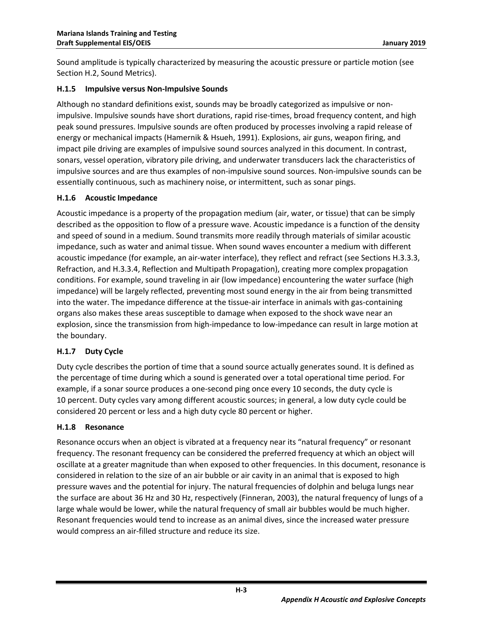Sound amplitude is typically characterized by measuring the acoustic pressure or particle motion (see Section H.2, Sound Metrics).

#### <span id="page-4-0"></span>**H.1.5 Impulsive versus Non-Impulsive Sounds**

Although no standard definitions exist, sounds may be broadly categorized as impulsive or nonimpulsive. Impulsive sounds have short durations, rapid rise-times, broad frequency content, and high peak sound pressures. Impulsive sounds are often produced by processes involving a rapid release of energy or mechanical impacts (Hamernik & Hsueh, 1991). Explosions, air guns, weapon firing, and impact pile driving are examples of impulsive sound sources analyzed in this document. In contrast, sonars, vessel operation, vibratory pile driving, and underwater transducers lack the characteristics of impulsive sources and are thus examples of non-impulsive sound sources. Non-impulsive sounds can be essentially continuous, such as machinery noise, or intermittent, such as sonar pings.

#### <span id="page-4-1"></span>**H.1.6 Acoustic Impedance**

Acoustic impedance is a property of the propagation medium (air, water, or tissue) that can be simply described as the opposition to flow of a pressure wave. Acoustic impedance is a function of the density and speed of sound in a medium. Sound transmits more readily through materials of similar acoustic impedance, such as water and animal tissue. When sound waves encounter a medium with different acoustic impedance (for example, an air-water interface), they reflect and refract (see Sections H.3.3.3, Refraction, and H.3.3.4, Reflection and Multipath Propagation), creating more complex propagation conditions. For example, sound traveling in air (low impedance) encountering the water surface (high impedance) will be largely reflected, preventing most sound energy in the air from being transmitted into the water. The impedance difference at the tissue-air interface in animals with gas-containing organs also makes these areas susceptible to damage when exposed to the shock wave near an explosion, since the transmission from high-impedance to low-impedance can result in large motion at the boundary.

#### <span id="page-4-2"></span>**H.1.7 Duty Cycle**

Duty cycle describes the portion of time that a sound source actually generates sound. It is defined as the percentage of time during which a sound is generated over a total operational time period. For example, if a sonar source produces a one-second ping once every 10 seconds, the duty cycle is 10 percent. Duty cycles vary among different acoustic sources; in general, a low duty cycle could be considered 20 percent or less and a high duty cycle 80 percent or higher.

#### <span id="page-4-3"></span>**H.1.8 Resonance**

Resonance occurs when an object is vibrated at a frequency near its "natural frequency" or resonant frequency. The resonant frequency can be considered the preferred frequency at which an object will oscillate at a greater magnitude than when exposed to other frequencies. In this document, resonance is considered in relation to the size of an air bubble or air cavity in an animal that is exposed to high pressure waves and the potential for injury. The natural frequencies of dolphin and beluga lungs near the surface are about 36 Hz and 30 Hz, respectively (Finneran, 2003), the natural frequency of lungs of a large whale would be lower, while the natural frequency of small air bubbles would be much higher. Resonant frequencies would tend to increase as an animal dives, since the increased water pressure would compress an air-filled structure and reduce its size.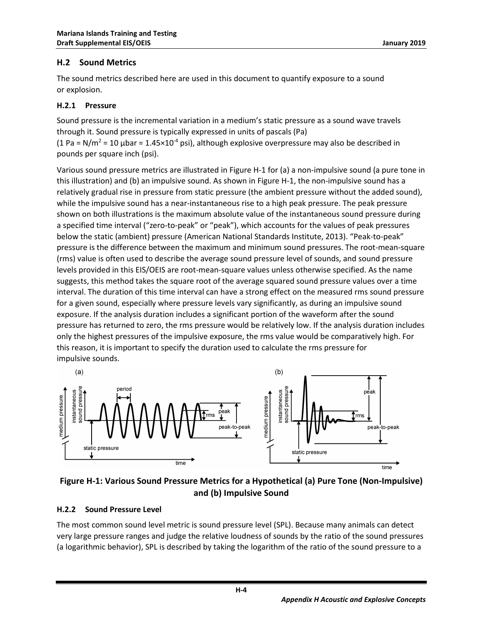#### <span id="page-5-0"></span>**H.2 Sound Metrics**

The sound metrics described here are used in this document to quantify exposure to a sound or explosion.

#### <span id="page-5-1"></span>**H.2.1 Pressure**

Sound pressure is the incremental variation in a medium's static pressure as a sound wave travels through it. Sound pressure is typically expressed in units of pascals (Pa) (1 Pa = N/m<sup>2</sup> = 10 µbar = 1.45×10<sup>-4</sup> psi), although explosive overpressure may also be described in pounds per square inch (psi).

Various sound pressure metrics are illustrated in [Figure H-1](#page-5-3) for (a) a non-impulsive sound (a pure tone in this illustration) and (b) an impulsive sound. As shown in [Figure H-1,](#page-5-3) the non-impulsive sound has a relatively gradual rise in pressure from static pressure (the ambient pressure without the added sound), while the impulsive sound has a near-instantaneous rise to a high peak pressure. The peak pressure shown on both illustrations is the maximum absolute value of the instantaneous sound pressure during a specified time interval ("zero-to-peak" or "peak"), which accounts for the values of peak pressures below the static (ambient) pressure (American National Standards Institute, 2013). "Peak-to-peak" pressure is the difference between the maximum and minimum sound pressures. The root-mean-square (rms) value is often used to describe the average sound pressure level of sounds, and sound pressure levels provided in this EIS/OEIS are root-mean-square values unless otherwise specified. As the name suggests, this method takes the square root of the average squared sound pressure values over a time interval. The duration of this time interval can have a strong effect on the measured rms sound pressure for a given sound, especially where pressure levels vary significantly, as during an impulsive sound exposure. If the analysis duration includes a significant portion of the waveform after the sound pressure has returned to zero, the rms pressure would be relatively low. If the analysis duration includes only the highest pressures of the impulsive exposure, the rms value would be comparatively high. For this reason, it is important to specify the duration used to calculate the rms pressure for impulsive sounds.



<span id="page-5-3"></span>

#### <span id="page-5-2"></span>**H.2.2 Sound Pressure Level**

The most common sound level metric is sound pressure level (SPL). Because many animals can detect very large pressure ranges and judge the relative loudness of sounds by the ratio of the sound pressures (a logarithmic behavior), SPL is described by taking the logarithm of the ratio of the sound pressure to a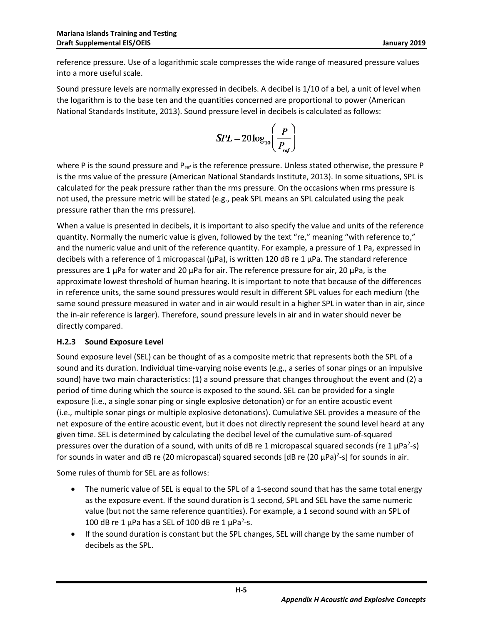reference pressure. Use of a logarithmic scale compresses the wide range of measured pressure values into a more useful scale.

Sound pressure levels are normally expressed in decibels. A decibel is 1/10 of a bel, a unit of level when the logarithm is to the base ten and the quantities concerned are proportional to power (American National Standards Institute, 2013). Sound pressure level in decibels is calculated as follows:

$$
SPL = 20 \log_{10} \left( \frac{P}{P_{ref}} \right)
$$

where P is the sound pressure and  $P_{ref}$  is the reference pressure. Unless stated otherwise, the pressure P is the rms value of the pressure (American National Standards Institute, 2013). In some situations, SPL is calculated for the peak pressure rather than the rms pressure. On the occasions when rms pressure is not used, the pressure metric will be stated (e.g., peak SPL means an SPL calculated using the peak pressure rather than the rms pressure).

When a value is presented in decibels, it is important to also specify the value and units of the reference quantity. Normally the numeric value is given, followed by the text "re," meaning "with reference to," and the numeric value and unit of the reference quantity. For example, a pressure of 1 Pa, expressed in decibels with a reference of 1 micropascal ( $\mu$ Pa), is written 120 dB re 1  $\mu$ Pa. The standard reference pressures are 1  $\mu$ Pa for water and 20  $\mu$ Pa for air. The reference pressure for air, 20  $\mu$ Pa, is the approximate lowest threshold of human hearing. It is important to note that because of the differences in reference units, the same sound pressures would result in different SPL values for each medium (the same sound pressure measured in water and in air would result in a higher SPL in water than in air, since the in-air reference is larger). Therefore, sound pressure levels in air and in water should never be directly compared.

#### <span id="page-6-0"></span>**H.2.3 Sound Exposure Level**

Sound exposure level (SEL) can be thought of as a composite metric that represents both the SPL of a sound and its duration. Individual time-varying noise events (e.g., a series of sonar pings or an impulsive sound) have two main characteristics: (1) a sound pressure that changes throughout the event and (2) a period of time during which the source is exposed to the sound. SEL can be provided for a single exposure (i.e., a single sonar ping or single explosive detonation) or for an entire acoustic event (i.e., multiple sonar pings or multiple explosive detonations). Cumulative SEL provides a measure of the net exposure of the entire acoustic event, but it does not directly represent the sound level heard at any given time. SEL is determined by calculating the decibel level of the cumulative sum-of-squared pressures over the duration of a sound, with units of dB re 1 micropascal squared seconds (re 1  $\mu$ Pa<sup>2</sup>-s) for sounds in water and dB re (20 micropascal) squared seconds [dB re (20  $\mu$ Pa)<sup>2</sup>-s] for sounds in air.

Some rules of thumb for SEL are as follows:

- The numeric value of SEL is equal to the SPL of a 1-second sound that has the same total energy as the exposure event. If the sound duration is 1 second, SPL and SEL have the same numeric value (but not the same reference quantities). For example, a 1 second sound with an SPL of 100 dB re 1  $\mu$ Pa has a SEL of 100 dB re 1  $\mu$ Pa<sup>2</sup>-s.
- If the sound duration is constant but the SPL changes, SEL will change by the same number of decibels as the SPL.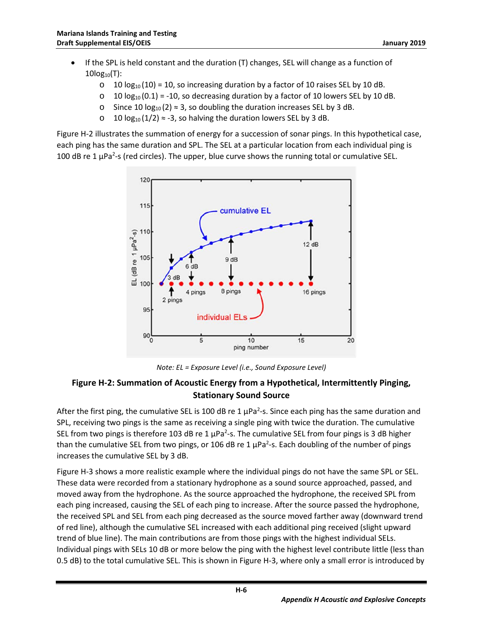- If the SPL is held constant and the duration (T) changes, SEL will change as a function of  $10log_{10}(T)$ :
	- $\circ$  10 log<sub>10</sub> (10) = 10, so increasing duration by a factor of 10 raises SEL by 10 dB.
	- $\circ$  10 log<sub>10</sub> (0.1) = -10, so decreasing duration by a factor of 10 lowers SEL by 10 dB.
	- o Since 10  $log_{10}(2)$  ≈ 3, so doubling the duration increases SEL by 3 dB.
	- o 10 log<sub>10</sub> (1/2) ≈ -3, so halving the duration lowers SEL by 3 dB.

[Figure H-2](#page-7-0) illustrates the summation of energy for a succession of sonar pings. In this hypothetical case, each ping has the same duration and SPL. The SEL at a particular location from each individual ping is 100 dB re 1  $\mu$ Pa<sup>2</sup>-s (red circles). The upper, blue curve shows the running total or cumulative SEL.



*Note: EL = Exposure Level (i.e., Sound Exposure Level)*

#### <span id="page-7-0"></span>**Figure H-2: Summation of Acoustic Energy from a Hypothetical, Intermittently Pinging, Stationary Sound Source**

After the first ping, the cumulative SEL is 100 dB re 1  $\mu$ Pa<sup>2</sup>-s. Since each ping has the same duration and SPL, receiving two pings is the same as receiving a single ping with twice the duration. The cumulative SEL from two pings is therefore 103 dB re 1  $\mu$ Pa<sup>2</sup>-s. The cumulative SEL from four pings is 3 dB higher than the cumulative SEL from two pings, or 106 dB re 1  $\mu$ Pa<sup>2</sup>-s. Each doubling of the number of pings increases the cumulative SEL by 3 dB.

[Figure H-3](#page-8-3) shows a more realistic example where the individual pings do not have the same SPL or SEL. These data were recorded from a stationary hydrophone as a sound source approached, passed, and moved away from the hydrophone. As the source approached the hydrophone, the received SPL from each ping increased, causing the SEL of each ping to increase. After the source passed the hydrophone, the received SPL and SEL from each ping decreased as the source moved farther away (downward trend of red line), although the cumulative SEL increased with each additional ping received (slight upward trend of blue line). The main contributions are from those pings with the highest individual SELs. Individual pings with SELs 10 dB or more below the ping with the highest level contribute little (less than 0.5 dB) to the total cumulative SEL. This is shown i[n Figure H-3,](#page-8-3) where only a small error is introduced by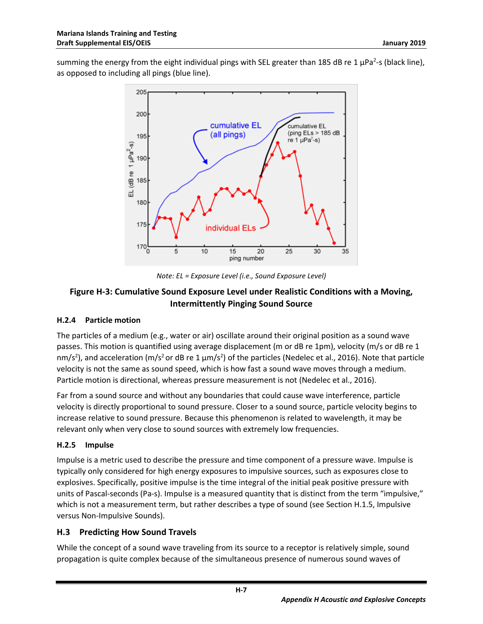summing the energy from the eight individual pings with SEL greater than 185 dB re 1  $\mu$ Pa<sup>2</sup>-s (black line), as opposed to including all pings (blue line).



*Note: EL = Exposure Level (i.e., Sound Exposure Level)*

### <span id="page-8-3"></span>**Figure H-3: Cumulative Sound Exposure Level under Realistic Conditions with a Moving, Intermittently Pinging Sound Source**

#### <span id="page-8-0"></span>**H.2.4 Particle motion**

The particles of a medium (e.g., water or air) oscillate around their original position as a sound wave passes. This motion is quantified using average displacement (m or dB re 1pm), velocity (m/s or dB re 1 nm/s<sup>2</sup>), and acceleration (m/s<sup>2</sup> or dB re 1  $\mu$ m/s<sup>2</sup>) of the particles (Nedelec et al., 2016). Note that particle velocity is not the same as sound speed, which is how fast a sound wave moves through a medium. Particle motion is directional, whereas pressure measurement is not (Nedelec et al., 2016).

Far from a sound source and without any boundaries that could cause wave interference, particle velocity is directly proportional to sound pressure. Closer to a sound source, particle velocity begins to increase relative to sound pressure. Because this phenomenon is related to wavelength, it may be relevant only when very close to sound sources with extremely low frequencies.

#### <span id="page-8-1"></span>**H.2.5 Impulse**

Impulse is a metric used to describe the pressure and time component of a pressure wave. Impulse is typically only considered for high energy exposures to impulsive sources, such as exposures close to explosives. Specifically, positive impulse is the time integral of the initial peak positive pressure with units of Pascal-seconds (Pa-s). Impulse is a measured quantity that is distinct from the term "impulsive," which is not a measurement term, but rather describes a type of sound (see Section H.1.5, Impulsive versus Non-Impulsive Sounds).

#### <span id="page-8-2"></span>**H.3 Predicting How Sound Travels**

While the concept of a sound wave traveling from its source to a receptor is relatively simple, sound propagation is quite complex because of the simultaneous presence of numerous sound waves of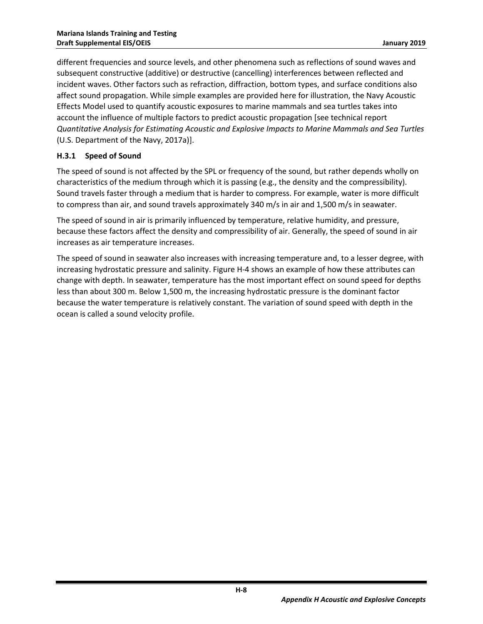different frequencies and source levels, and other phenomena such as reflections of sound waves and subsequent constructive (additive) or destructive (cancelling) interferences between reflected and incident waves. Other factors such as refraction, diffraction, bottom types, and surface conditions also affect sound propagation. While simple examples are provided here for illustration, the Navy Acoustic Effects Model used to quantify acoustic exposures to marine mammals and sea turtles takes into account the influence of multiple factors to predict acoustic propagation [see technical report *Quantitative Analysis for Estimating Acoustic and Explosive Impacts to Marine Mammals and Sea Turtles* (U.S. Department of the Navy, 2017a)].

#### <span id="page-9-0"></span>**H.3.1 Speed of Sound**

The speed of sound is not affected by the SPL or frequency of the sound, but rather depends wholly on characteristics of the medium through which it is passing (e.g., the density and the compressibility). Sound travels faster through a medium that is harder to compress. For example, water is more difficult to compress than air, and sound travels approximately 340 m/s in air and 1,500 m/s in seawater.

The speed of sound in air is primarily influenced by temperature, relative humidity, and pressure, because these factors affect the density and compressibility of air. Generally, the speed of sound in air increases as air temperature increases.

The speed of sound in seawater also increases with increasing temperature and, to a lesser degree, with increasing hydrostatic pressure and salinity. [Figure H-4](#page-10-2) shows an example of how these attributes can change with depth. In seawater, temperature has the most important effect on sound speed for depths less than about 300 m. Below 1,500 m, the increasing hydrostatic pressure is the dominant factor because the water temperature is relatively constant. The variation of sound speed with depth in the ocean is called a sound velocity profile.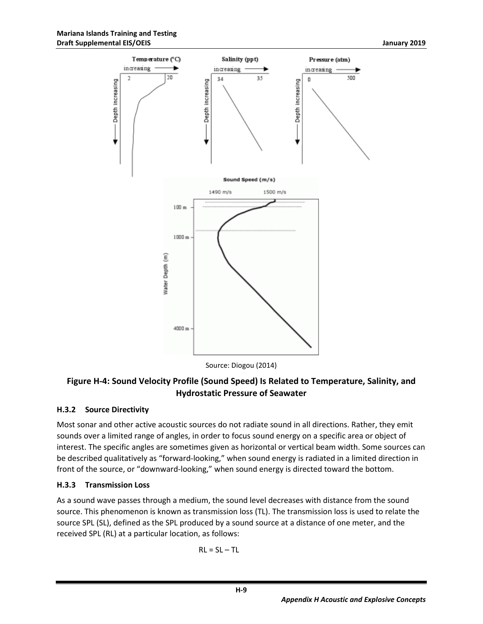

Source: Diogou (2014)

### <span id="page-10-2"></span>**Figure H-4: Sound Velocity Profile (Sound Speed) Is Related to Temperature, Salinity, and Hydrostatic Pressure of Seawater**

#### <span id="page-10-0"></span>**H.3.2 Source Directivity**

Most sonar and other active acoustic sources do not radiate sound in all directions. Rather, they emit sounds over a limited range of angles, in order to focus sound energy on a specific area or object of interest. The specific angles are sometimes given as horizontal or vertical beam width. Some sources can be described qualitatively as "forward-looking," when sound energy is radiated in a limited direction in front of the source, or "downward-looking," when sound energy is directed toward the bottom.

#### <span id="page-10-1"></span>**H.3.3 Transmission Loss**

As a sound wave passes through a medium, the sound level decreases with distance from the sound source. This phenomenon is known as transmission loss (TL). The transmission loss is used to relate the source SPL (SL), defined as the SPL produced by a sound source at a distance of one meter, and the received SPL (RL) at a particular location, as follows:

$$
RL = SL - TL
$$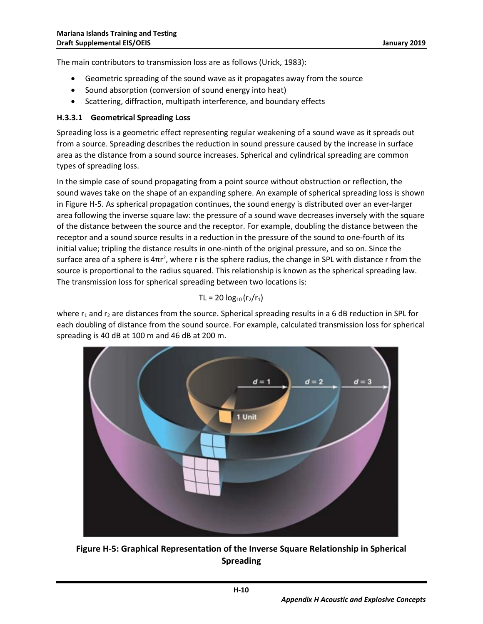The main contributors to transmission loss are as follows (Urick, 1983):

- Geometric spreading of the sound wave as it propagates away from the source
- Sound absorption (conversion of sound energy into heat)
- Scattering, diffraction, multipath interference, and boundary effects

#### <span id="page-11-0"></span>**H.3.3.1 Geometrical Spreading Loss**

Spreading loss is a geometric effect representing regular weakening of a sound wave as it spreads out from a source. Spreading describes the reduction in sound pressure caused by the increase in surface area as the distance from a sound source increases. Spherical and cylindrical spreading are common types of spreading loss.

In the simple case of sound propagating from a point source without obstruction or reflection, the sound waves take on the shape of an expanding sphere. An example of spherical spreading loss is shown in [Figure H-5.](#page-11-1) As spherical propagation continues, the sound energy is distributed over an ever-larger area following the inverse square law: the pressure of a sound wave decreases inversely with the square of the distance between the source and the receptor. For example, doubling the distance between the receptor and a sound source results in a reduction in the pressure of the sound to one-fourth of its initial value; tripling the distance results in one-ninth of the original pressure, and so on. Since the surface area of a sphere is  $4\pi r^2$ , where r is the sphere radius, the change in SPL with distance r from the source is proportional to the radius squared. This relationship is known as the spherical spreading law. The transmission loss for spherical spreading between two locations is:

#### $TL = 20 log_{10}(r_2/r_1)$

where  $r_1$  and  $r_2$  are distances from the source. Spherical spreading results in a 6 dB reduction in SPL for each doubling of distance from the sound source. For example, calculated transmission loss for spherical spreading is 40 dB at 100 m and 46 dB at 200 m.



<span id="page-11-1"></span>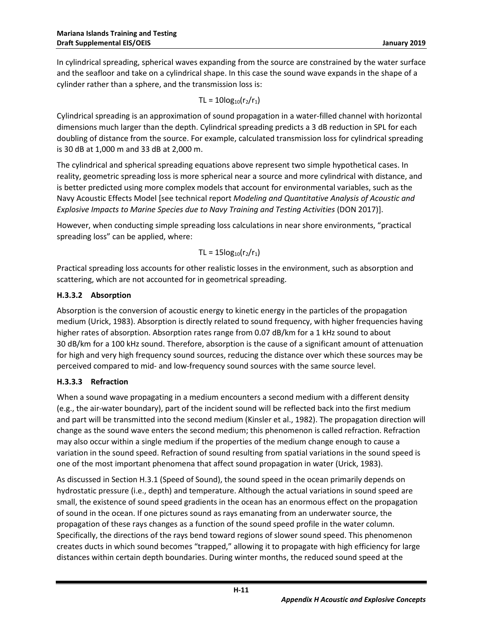In cylindrical spreading, spherical waves expanding from the source are constrained by the water surface and the seafloor and take on a cylindrical shape. In this case the sound wave expands in the shape of a cylinder rather than a sphere, and the transmission loss is:

$$
TL = 10log_{10}(r_2/r_1)
$$

Cylindrical spreading is an approximation of sound propagation in a water-filled channel with horizontal dimensions much larger than the depth. Cylindrical spreading predicts a 3 dB reduction in SPL for each doubling of distance from the source. For example, calculated transmission loss for cylindrical spreading is 30 dB at 1,000 m and 33 dB at 2,000 m.

The cylindrical and spherical spreading equations above represent two simple hypothetical cases. In reality, geometric spreading loss is more spherical near a source and more cylindrical with distance, and is better predicted using more complex models that account for environmental variables, such as the Navy Acoustic Effects Model [see technical report *Modeling and Quantitative Analysis of Acoustic and Explosive Impacts to Marine Species due to Navy Training and Testing Activities* (DON 2017)].

However, when conducting simple spreading loss calculations in near shore environments, "practical spreading loss" can be applied, where:

 $TL = 15log_{10}(r_2/r_1)$ 

Practical spreading loss accounts for other realistic losses in the environment, such as absorption and scattering, which are not accounted for in geometrical spreading.

#### <span id="page-12-0"></span>**H.3.3.2 Absorption**

Absorption is the conversion of acoustic energy to kinetic energy in the particles of the propagation medium (Urick, 1983). Absorption is directly related to sound frequency, with higher frequencies having higher rates of absorption. Absorption rates range from 0.07 dB/km for a 1 kHz sound to about 30 dB/km for a 100 kHz sound. Therefore, absorption is the cause of a significant amount of attenuation for high and very high frequency sound sources, reducing the distance over which these sources may be perceived compared to mid- and low-frequency sound sources with the same source level.

#### <span id="page-12-1"></span>**H.3.3.3 Refraction**

When a sound wave propagating in a medium encounters a second medium with a different density (e.g., the air-water boundary), part of the incident sound will be reflected back into the first medium and part will be transmitted into the second medium (Kinsler et al., 1982). The propagation direction will change as the sound wave enters the second medium; this phenomenon is called refraction. Refraction may also occur within a single medium if the properties of the medium change enough to cause a variation in the sound speed. Refraction of sound resulting from spatial variations in the sound speed is one of the most important phenomena that affect sound propagation in water (Urick, 1983).

As discussed in Section H.3.1 [\(Speed of Sound\)](#page-9-0), the sound speed in the ocean primarily depends on hydrostatic pressure (i.e., depth) and temperature. Although the actual variations in sound speed are small, the existence of sound speed gradients in the ocean has an enormous effect on the propagation of sound in the ocean. If one pictures sound as rays emanating from an underwater source, the propagation of these rays changes as a function of the sound speed profile in the water column. Specifically, the directions of the rays bend toward regions of slower sound speed. This phenomenon creates ducts in which sound becomes "trapped," allowing it to propagate with high efficiency for large distances within certain depth boundaries. During winter months, the reduced sound speed at the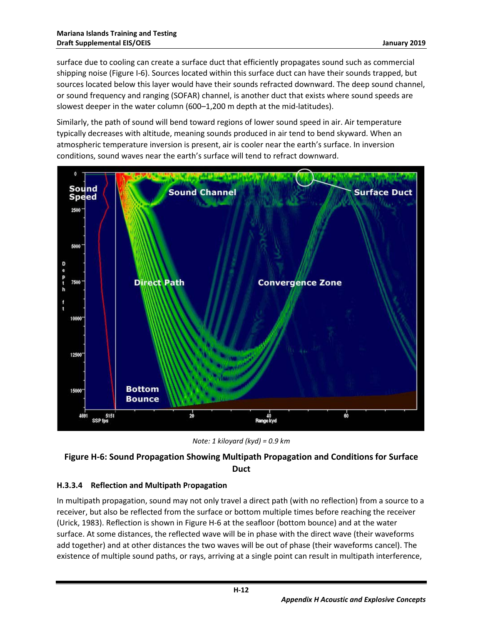surface due to cooling can create a surface duct that efficiently propagates sound such as commercial shipping noise (Figure I-6). Sources located within this surface duct can have their sounds trapped, but sources located below this layer would have their sounds refracted downward. The deep sound channel, or sound frequency and ranging (SOFAR) channel, is another duct that exists where sound speeds are slowest deeper in the water column (600–1,200 m depth at the mid-latitudes).

Similarly, the path of sound will bend toward regions of lower sound speed in air. Air temperature typically decreases with altitude, meaning sounds produced in air tend to bend skyward. When an atmospheric temperature inversion is present, air is cooler near the earth's surface. In inversion conditions, sound waves near the earth's surface will tend to refract downward.



*Note: 1 kiloyard (kyd) = 0.9 km*

### <span id="page-13-1"></span>**Figure H-6: Sound Propagation Showing Multipath Propagation and Conditions for Surface Duct**

### <span id="page-13-0"></span>**H.3.3.4 Reflection and Multipath P**r**opagation**

In multipath propagation, sound may not only travel a direct path (with no reflection) from a source to a receiver, but also be reflected from the surface or bottom multiple times before reaching the receiver (Urick, 1983). Reflection is shown in Figure H-6 at the seafloor (bottom bounce) and at the water surface. At some distances, the reflected wave will be in phase with the direct wave (their waveforms add together) and at other distances the two waves will be out of phase (their waveforms cancel). The existence of multiple sound paths, or rays, arriving at a single point can result in multipath interference,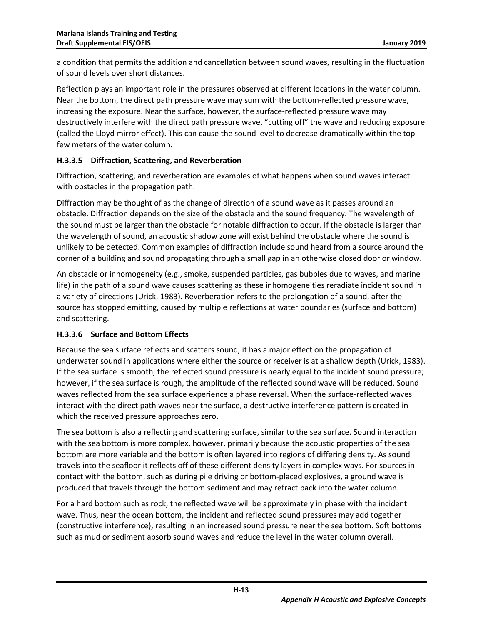a condition that permits the addition and cancellation between sound waves, resulting in the fluctuation of sound levels over short distances.

Reflection plays an important role in the pressures observed at different locations in the water column. Near the bottom, the direct path pressure wave may sum with the bottom-reflected pressure wave, increasing the exposure. Near the surface, however, the surface-reflected pressure wave may destructively interfere with the direct path pressure wave, "cutting off" the wave and reducing exposure (called the Lloyd mirror effect). This can cause the sound level to decrease dramatically within the top few meters of the water column.

#### <span id="page-14-0"></span>**H.3.3.5 Diffraction, Scattering, and Reverberation**

Diffraction, scattering, and reverberation are examples of what happens when sound waves interact with obstacles in the propagation path.

Diffraction may be thought of as the change of direction of a sound wave as it passes around an obstacle. Diffraction depends on the size of the obstacle and the sound frequency. The wavelength of the sound must be larger than the obstacle for notable diffraction to occur. If the obstacle is larger than the wavelength of sound, an acoustic shadow zone will exist behind the obstacle where the sound is unlikely to be detected. Common examples of diffraction include sound heard from a source around the corner of a building and sound propagating through a small gap in an otherwise closed door or window.

An obstacle or inhomogeneity (e.g., smoke, suspended particles, gas bubbles due to waves, and marine life) in the path of a sound wave causes scattering as these inhomogeneities reradiate incident sound in a variety of directions (Urick, 1983). Reverberation refers to the prolongation of a sound, after the source has stopped emitting, caused by multiple reflections at water boundaries (surface and bottom) and scattering.

#### <span id="page-14-1"></span>**H.3.3.6 Surface and Bottom Effects**

Because the sea surface reflects and scatters sound, it has a major effect on the propagation of underwater sound in applications where either the source or receiver is at a shallow depth (Urick, 1983). If the sea surface is smooth, the reflected sound pressure is nearly equal to the incident sound pressure; however, if the sea surface is rough, the amplitude of the reflected sound wave will be reduced. Sound waves reflected from the sea surface experience a phase reversal. When the surface-reflected waves interact with the direct path waves near the surface, a destructive interference pattern is created in which the received pressure approaches zero.

The sea bottom is also a reflecting and scattering surface, similar to the sea surface. Sound interaction with the sea bottom is more complex, however, primarily because the acoustic properties of the sea bottom are more variable and the bottom is often layered into regions of differing density. As sound travels into the seafloor it reflects off of these different density layers in complex ways. For sources in contact with the bottom, such as during pile driving or bottom-placed explosives, a ground wave is produced that travels through the bottom sediment and may refract back into the water column.

For a hard bottom such as rock, the reflected wave will be approximately in phase with the incident wave. Thus, near the ocean bottom, the incident and reflected sound pressures may add together (constructive interference), resulting in an increased sound pressure near the sea bottom. Soft bottoms such as mud or sediment absorb sound waves and reduce the level in the water column overall.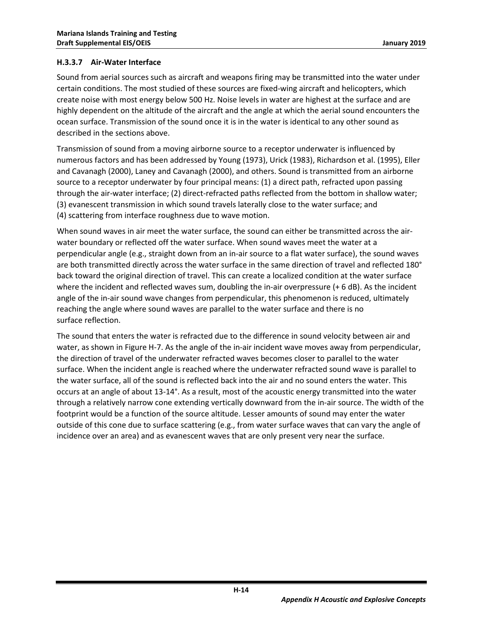#### <span id="page-15-0"></span>**H.3.3.7 Air-Water Interface**

Sound from aerial sources such as aircraft and weapons firing may be transmitted into the water under certain conditions. The most studied of these sources are fixed-wing aircraft and helicopters, which create noise with most energy below 500 Hz. Noise levels in water are highest at the surface and are highly dependent on the altitude of the aircraft and the angle at which the aerial sound encounters the ocean surface. Transmission of the sound once it is in the water is identical to any other sound as described in the sections above.

Transmission of sound from a moving airborne source to a receptor underwater is influenced by numerous factors and has been addressed by Young (1973), Urick (1983), Richardson et al. (1995), Eller and Cavanagh (2000), Laney and Cavanagh (2000), and others. Sound is transmitted from an airborne source to a receptor underwater by four principal means: (1) a direct path, refracted upon passing through the air-water interface; (2) direct-refracted paths reflected from the bottom in shallow water; (3) evanescent transmission in which sound travels laterally close to the water surface; and (4) scattering from interface roughness due to wave motion.

When sound waves in air meet the water surface, the sound can either be transmitted across the airwater boundary or reflected off the water surface. When sound waves meet the water at a perpendicular angle (e.g., straight down from an in-air source to a flat water surface), the sound waves are both transmitted directly across the water surface in the same direction of travel and reflected 180° back toward the original direction of travel. This can create a localized condition at the water surface where the incident and reflected waves sum, doubling the in-air overpressure (+6 dB). As the incident angle of the in-air sound wave changes from perpendicular, this phenomenon is reduced, ultimately reaching the angle where sound waves are parallel to the water surface and there is no surface reflection.

The sound that enters the water is refracted due to the difference in sound velocity between air and water, as shown in Figure H-7. As the angle of the in-air incident wave moves away from perpendicular, the direction of travel of the underwater refracted waves becomes closer to parallel to the water surface. When the incident angle is reached where the underwater refracted sound wave is parallel to the water surface, all of the sound is reflected back into the air and no sound enters the water. This occurs at an angle of about 13-14°. As a result, most of the acoustic energy transmitted into the water through a relatively narrow cone extending vertically downward from the in-air source. The width of the footprint would be a function of the source altitude. Lesser amounts of sound may enter the water outside of this cone due to surface scattering (e.g., from water surface waves that can vary the angle of incidence over an area) and as evanescent waves that are only present very near the surface.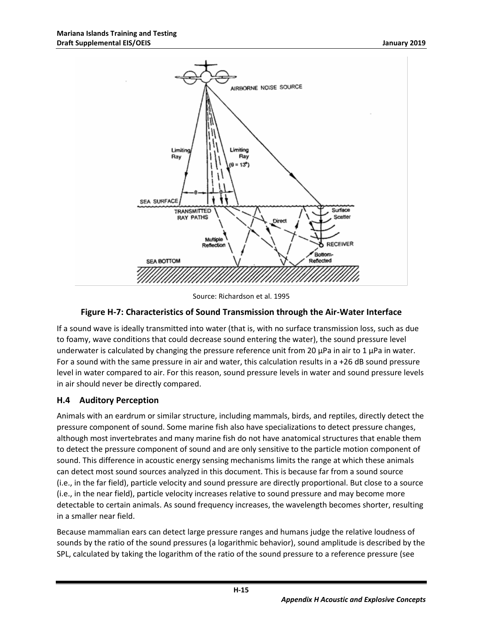

Source: Richardson et al. 1995

#### **Figure H-7: Characteristics of Sound Transmission through the Air-Water Interface**

<span id="page-16-1"></span>If a sound wave is ideally transmitted into water (that is, with no surface transmission loss, such as due to foamy, wave conditions that could decrease sound entering the water), the sound pressure level underwater is calculated by changing the pressure reference unit from 20  $\mu$ Pa in air to 1  $\mu$ Pa in water. For a sound with the same pressure in air and water, this calculation results in a +26 dB sound pressure level in water compared to air. For this reason, sound pressure levels in water and sound pressure levels in air should never be directly compared.

#### <span id="page-16-0"></span>**H.4 Auditory Perception**

Animals with an eardrum or similar structure, including mammals, birds, and reptiles, directly detect the pressure component of sound. Some marine fish also have specializations to detect pressure changes, although most invertebrates and many marine fish do not have anatomical structures that enable them to detect the pressure component of sound and are only sensitive to the particle motion component of sound. This difference in acoustic energy sensing mechanisms limits the range at which these animals can detect most sound sources analyzed in this document. This is because far from a sound source (i.e., in the far field), particle velocity and sound pressure are directly proportional. But close to a source (i.e., in the near field), particle velocity increases relative to sound pressure and may become more detectable to certain animals. As sound frequency increases, the wavelength becomes shorter, resulting in a smaller near field.

Because mammalian ears can detect large pressure ranges and humans judge the relative loudness of sounds by the ratio of the sound pressures (a logarithmic behavior), sound amplitude is described by the SPL, calculated by taking the logarithm of the ratio of the sound pressure to a reference pressure (see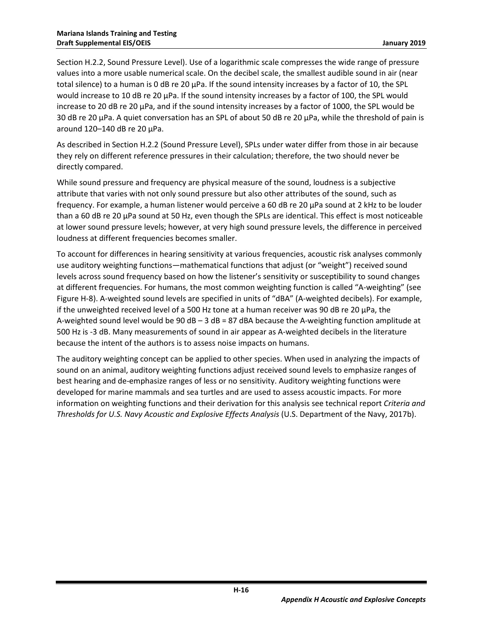Section H.2.2, Sound Pressure Level). Use of a logarithmic scale compresses the wide range of pressure values into a more usable numerical scale. On the decibel scale, the smallest audible sound in air (near total silence) to a human is 0 dB re 20 µPa. If the sound intensity increases by a factor of 10, the SPL would increase to 10 dB re 20 µPa. If the sound intensity increases by a factor of 100, the SPL would increase to 20 dB re 20  $\mu$ Pa, and if the sound intensity increases by a factor of 1000, the SPL would be 30 dB re 20 µPa. A quiet conversation has an SPL of about 50 dB re 20 µPa, while the threshold of pain is around 120–140 dB re 20 µPa.

As described in Section H.2.2 (Sound Pressure Level), SPLs under water differ from those in air because they rely on different reference pressures in their calculation; therefore, the two should never be directly compared.

While sound pressure and frequency are physical measure of the sound, loudness is a subjective attribute that varies with not only sound pressure but also other attributes of the sound, such as frequency. For example, a human listener would perceive a 60 dB re 20 µPa sound at 2 kHz to be louder than a 60 dB re 20 µPa sound at 50 Hz, even though the SPLs are identical. This effect is most noticeable at lower sound pressure levels; however, at very high sound pressure levels, the difference in perceived loudness at different frequencies becomes smaller.

To account for differences in hearing sensitivity at various frequencies, acoustic risk analyses commonly use auditory weighting functions—mathematical functions that adjust (or "weight") received sound levels across sound frequency based on how the listener's sensitivity or susceptibility to sound changes at different frequencies. For humans, the most common weighting function is called "A-weighting" (see [Figure H-8\)](#page-18-1). A-weighted sound levels are specified in units of "dBA" (A-weighted decibels). For example, if the unweighted received level of a 500 Hz tone at a human receiver was 90 dB re 20  $\mu$ Pa, the A-weighted sound level would be 90  $dB - 3 dB = 87 dB$  dBA because the A-weighting function amplitude at 500 Hz is -3 dB. Many measurements of sound in air appear as A-weighted decibels in the literature because the intent of the authors is to assess noise impacts on humans.

The auditory weighting concept can be applied to other species. When used in analyzing the impacts of sound on an animal, auditory weighting functions adjust received sound levels to emphasize ranges of best hearing and de-emphasize ranges of less or no sensitivity. Auditory weighting functions were developed for marine mammals and sea turtles and are used to assess acoustic impacts. For more information on weighting functions and their derivation for this analysis see technical report *Criteria and Thresholds for U.S. Navy Acoustic and Explosive Effects Analysis* (U.S. Department of the Navy, 2017b).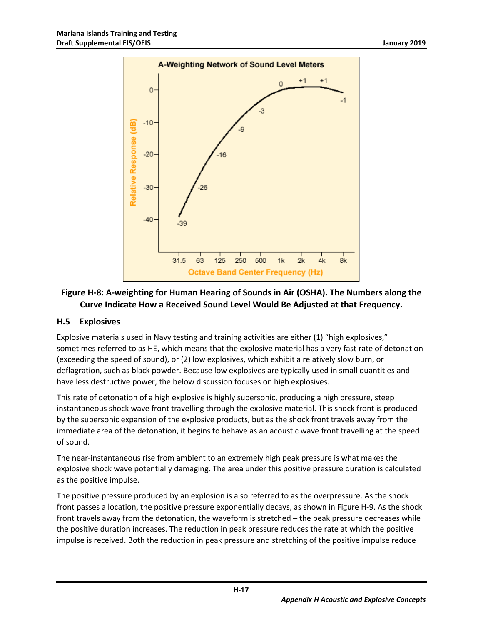

### <span id="page-18-1"></span>**Figure H-8: A-weighting for Human Hearing of Sounds in Air (OSHA). The Numbers along the Curve Indicate How a Received Sound Level Would Be Adjusted at that Frequency.**

#### <span id="page-18-0"></span>**H.5 Explosives**

Explosive materials used in Navy testing and training activities are either (1) "high explosives," sometimes referred to as HE, which means that the explosive material has a very fast rate of detonation (exceeding the speed of sound), or (2) low explosives, which exhibit a relatively slow burn, or deflagration, such as black powder. Because low explosives are typically used in small quantities and have less destructive power, the below discussion focuses on high explosives.

This rate of detonation of a high explosive is highly supersonic, producing a high pressure, steep instantaneous shock wave front travelling through the explosive material. This shock front is produced by the supersonic expansion of the explosive products, but as the shock front travels away from the immediate area of the detonation, it begins to behave as an acoustic wave front travelling at the speed of sound.

The near-instantaneous rise from ambient to an extremely high peak pressure is what makes the explosive shock wave potentially damaging. The area under this positive pressure duration is calculated as the positive impulse.

The positive pressure produced by an explosion is also referred to as the overpressure. As the shock front passes a location, the positive pressure exponentially decays, as shown i[n Figure H-9.](#page-19-1) As the shock front travels away from the detonation, the waveform is stretched – the peak pressure decreases while the positive duration increases. The reduction in peak pressure reduces the rate at which the positive impulse is received. Both the reduction in peak pressure and stretching of the positive impulse reduce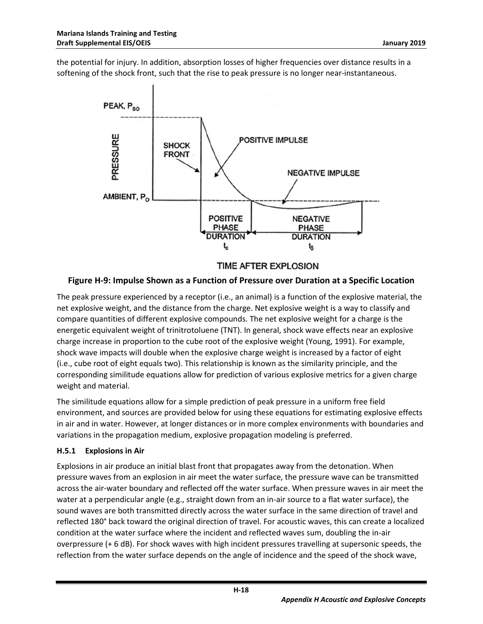the potential for injury. In addition, absorption losses of higher frequencies over distance results in a softening of the shock front, such that the rise to peak pressure is no longer near-instantaneous.



#### <span id="page-19-1"></span>**Figure H-9: Impulse Shown as a Function of Pressure over Duration at a Specific Location**

The peak pressure experienced by a receptor (i.e., an animal) is a function of the explosive material, the net explosive weight, and the distance from the charge. Net explosive weight is a way to classify and compare quantities of different explosive compounds. The net explosive weight for a charge is the energetic equivalent weight of trinitrotoluene (TNT). In general, shock wave effects near an explosive charge increase in proportion to the cube root of the explosive weight (Young, 1991). For example, shock wave impacts will double when the explosive charge weight is increased by a factor of eight (i.e., cube root of eight equals two). This relationship is known as the similarity principle, and the corresponding similitude equations allow for prediction of various explosive metrics for a given charge weight and material.

The similitude equations allow for a simple prediction of peak pressure in a uniform free field environment, and sources are provided below for using these equations for estimating explosive effects in air and in water. However, at longer distances or in more complex environments with boundaries and variations in the propagation medium, explosive propagation modeling is preferred.

#### <span id="page-19-0"></span>**H.5.1 Explosions in Air**

Explosions in air produce an initial blast front that propagates away from the detonation. When pressure waves from an explosion in air meet the water surface, the pressure wave can be transmitted across the air-water boundary and reflected off the water surface. When pressure waves in air meet the water at a perpendicular angle (e.g., straight down from an in-air source to a flat water surface), the sound waves are both transmitted directly across the water surface in the same direction of travel and reflected 180° back toward the original direction of travel. For acoustic waves, this can create a localized condition at the water surface where the incident and reflected waves sum, doubling the in-air overpressure (+ 6 dB). For shock waves with high incident pressures travelling at supersonic speeds, the reflection from the water surface depends on the angle of incidence and the speed of the shock wave,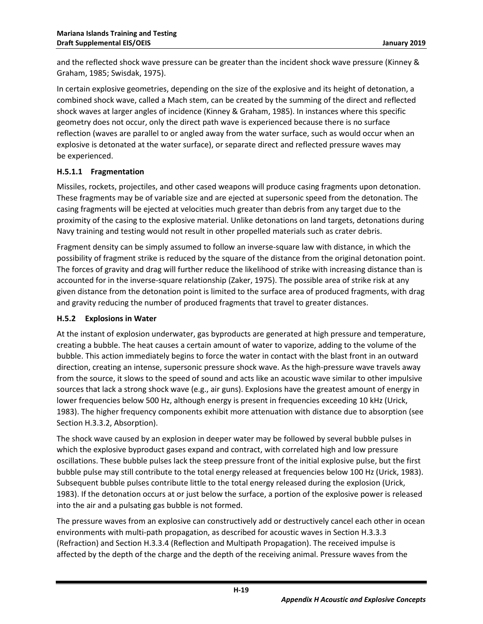and the reflected shock wave pressure can be greater than the incident shock wave pressure (Kinney & Graham, 1985; Swisdak, 1975).

In certain explosive geometries, depending on the size of the explosive and its height of detonation, a combined shock wave, called a Mach stem, can be created by the summing of the direct and reflected shock waves at larger angles of incidence (Kinney & Graham, 1985). In instances where this specific geometry does not occur, only the direct path wave is experienced because there is no surface reflection (waves are parallel to or angled away from the water surface, such as would occur when an explosive is detonated at the water surface), or separate direct and reflected pressure waves may be experienced.

#### <span id="page-20-0"></span>**H.5.1.1 Fragmentation**

Missiles, rockets, projectiles, and other cased weapons will produce casing fragments upon detonation. These fragments may be of variable size and are ejected at supersonic speed from the detonation. The casing fragments will be ejected at velocities much greater than debris from any target due to the proximity of the casing to the explosive material. Unlike detonations on land targets, detonations during Navy training and testing would not result in other propelled materials such as crater debris.

Fragment density can be simply assumed to follow an inverse-square law with distance, in which the possibility of fragment strike is reduced by the square of the distance from the original detonation point. The forces of gravity and drag will further reduce the likelihood of strike with increasing distance than is accounted for in the inverse-square relationship (Zaker, 1975). The possible area of strike risk at any given distance from the detonation point is limited to the surface area of produced fragments, with drag and gravity reducing the number of produced fragments that travel to greater distances.

#### <span id="page-20-1"></span>**H.5.2 Explosions in Water**

At the instant of explosion underwater, gas byproducts are generated at high pressure and temperature, creating a bubble. The heat causes a certain amount of water to vaporize, adding to the volume of the bubble. This action immediately begins to force the water in contact with the blast front in an outward direction, creating an intense, supersonic pressure shock wave. As the high-pressure wave travels away from the source, it slows to the speed of sound and acts like an acoustic wave similar to other impulsive sources that lack a strong shock wave (e.g., air guns). Explosions have the greatest amount of energy in lower frequencies below 500 Hz, although energy is present in frequencies exceeding 10 kHz (Urick, 1983). The higher frequency components exhibit more attenuation with distance due to absorption (see Sectio[n H.3.3.2,](#page-12-0) Absorption).

The shock wave caused by an explosion in deeper water may be followed by several bubble pulses in which the explosive byproduct gases expand and contract, with correlated high and low pressure oscillations. These bubble pulses lack the steep pressure front of the initial explosive pulse, but the first bubble pulse may still contribute to the total energy released at frequencies below 100 Hz (Urick, 1983). Subsequent bubble pulses contribute little to the total energy released during the explosion (Urick, 1983). If the detonation occurs at or just below the surface, a portion of the explosive power is released into the air and a pulsating gas bubble is not formed.

The pressure waves from an explosive can constructively add or destructively cancel each other in ocean environments with multi-path propagation, as described for acoustic waves in Section H.3.3.3 (Refraction) and Section H.3.3.4 (Reflection and Multipath Propagation). The received impulse is affected by the depth of the charge and the depth of the receiving animal. Pressure waves from the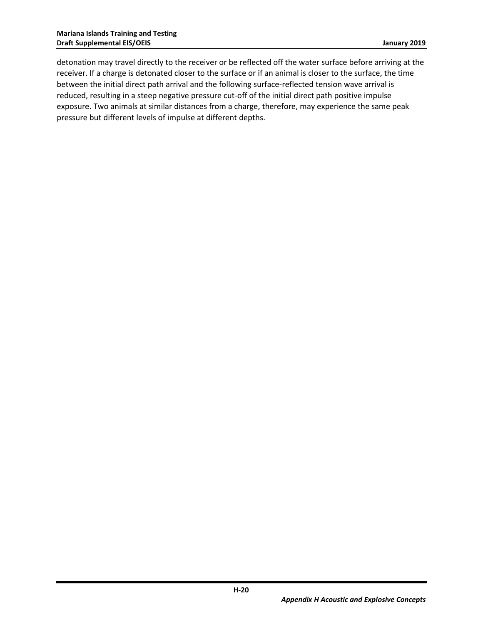detonation may travel directly to the receiver or be reflected off the water surface before arriving at the receiver. If a charge is detonated closer to the surface or if an animal is closer to the surface, the time between the initial direct path arrival and the following surface-reflected tension wave arrival is reduced, resulting in a steep negative pressure cut-off of the initial direct path positive impulse exposure. Two animals at similar distances from a charge, therefore, may experience the same peak pressure but different levels of impulse at different depths.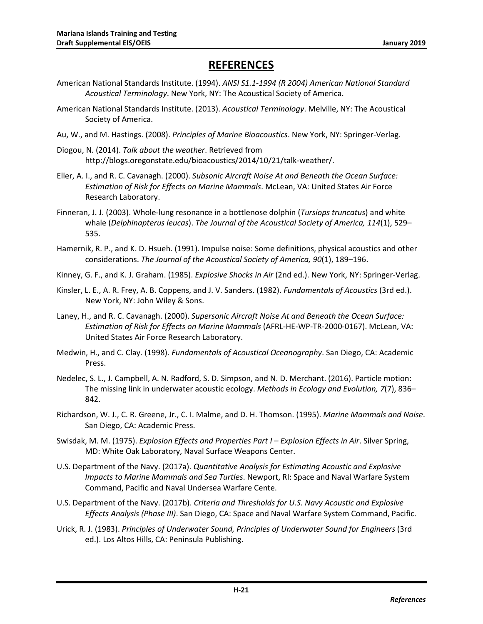## **REFERENCES**

- American National Standards Institute. (1994). *ANSI S1.1-1994 (R 2004) American National Standard Acoustical Terminology*. New York, NY: The Acoustical Society of America.
- American National Standards Institute. (2013). *Acoustical Terminology*. Melville, NY: The Acoustical Society of America.
- Au, W., and M. Hastings. (2008). *Principles of Marine Bioacoustics*. New York, NY: Springer-Verlag.
- Diogou, N. (2014). *Talk about the weather*. Retrieved from http://blogs.oregonstate.edu/bioacoustics/2014/10/21/talk-weather/.
- Eller, A. I., and R. C. Cavanagh. (2000). *Subsonic Aircraft Noise At and Beneath the Ocean Surface: Estimation of Risk for Effects on Marine Mammals*. McLean, VA: United States Air Force Research Laboratory.
- Finneran, J. J. (2003). Whole-lung resonance in a bottlenose dolphin (*Tursiops truncatus*) and white whale (*Delphinapterus leucas*). *The Journal of the Acoustical Society of America, 114*(1), 529– 535.
- Hamernik, R. P., and K. D. Hsueh. (1991). Impulse noise: Some definitions, physical acoustics and other considerations. *The Journal of the Acoustical Society of America, 90*(1), 189–196.
- Kinney, G. F., and K. J. Graham. (1985). *Explosive Shocks in Air* (2nd ed.). New York, NY: Springer-Verlag.
- Kinsler, L. E., A. R. Frey, A. B. Coppens, and J. V. Sanders. (1982). *Fundamentals of Acoustics* (3rd ed.). New York, NY: John Wiley & Sons.
- Laney, H., and R. C. Cavanagh. (2000). *Supersonic Aircraft Noise At and Beneath the Ocean Surface: Estimation of Risk for Effects on Marine Mammals* (AFRL-HE-WP-TR-2000-0167). McLean, VA: United States Air Force Research Laboratory.
- Medwin, H., and C. Clay. (1998). *Fundamentals of Acoustical Oceanography*. San Diego, CA: Academic Press.
- Nedelec, S. L., J. Campbell, A. N. Radford, S. D. Simpson, and N. D. Merchant. (2016). Particle motion: The missing link in underwater acoustic ecology. *Methods in Ecology and Evolution, 7*(7), 836– 842.
- Richardson, W. J., C. R. Greene, Jr., C. I. Malme, and D. H. Thomson. (1995). *Marine Mammals and Noise*. San Diego, CA: Academic Press.
- Swisdak, M. M. (1975). *Explosion Effects and Properties Part I – Explosion Effects in Air*. Silver Spring, MD: White Oak Laboratory, Naval Surface Weapons Center.
- U.S. Department of the Navy. (2017a). *Quantitative Analysis for Estimating Acoustic and Explosive Impacts to Marine Mammals and Sea Turtles*. Newport, RI: Space and Naval Warfare System Command, Pacific and Naval Undersea Warfare Cente.
- U.S. Department of the Navy. (2017b). *Criteria and Thresholds for U.S. Navy Acoustic and Explosive Effects Analysis (Phase III)*. San Diego, CA: Space and Naval Warfare System Command, Pacific.
- Urick, R. J. (1983). *Principles of Underwater Sound, Principles of Underwater Sound for Engineers* (3rd ed.). Los Altos Hills, CA: Peninsula Publishing.